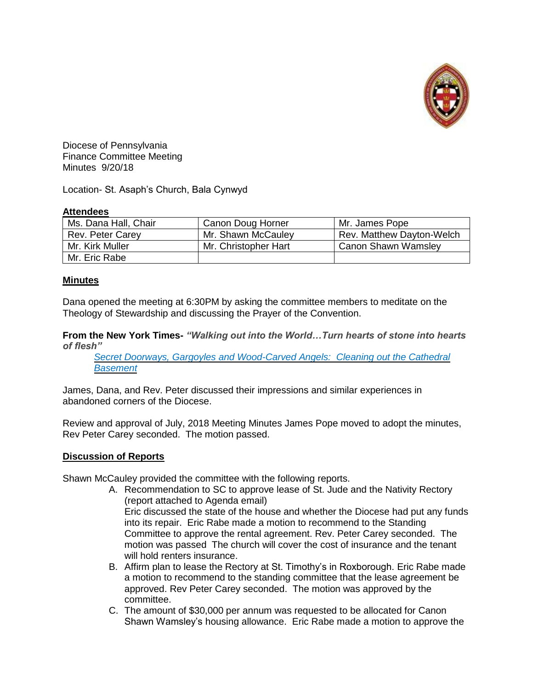

Diocese of Pennsylvania Finance Committee Meeting Minutes 9/20/18

Location- St. Asaph's Church, Bala Cynwyd

# **Attendees**

| Ms. Dana Hall, Chair | Canon Doug Horner    | Mr. James Pope             |
|----------------------|----------------------|----------------------------|
| Rev. Peter Carey     | Mr. Shawn McCauley   | Rev. Matthew Dayton-Welch  |
| Mr. Kirk Muller      | Mr. Christopher Hart | <b>Canon Shawn Wamsley</b> |
| Mr. Eric Rabe        |                      |                            |

# **Minutes**

Dana opened the meeting at 6:30PM by asking the committee members to meditate on the Theology of Stewardship and discussing the Prayer of the Convention.

**From the New York Times-** *"Walking out into the World…Turn hearts of stone into hearts of flesh"*

*Secret Doorways, Gargoyles and Wood-Carved [Angels: Cleaning](https://www.nytimes.com/2018/08/30/nyregion/secret-doorways-gargoyles-and-wood-carved-angels-cleaning-out-the-cathedral-basement.html) out the Cathedral [Basement](https://www.nytimes.com/2018/08/30/nyregion/secret-doorways-gargoyles-and-wood-carved-angels-cleaning-out-the-cathedral-basement.html)*

James, Dana, and Rev. Peter discussed their impressions and similar experiences in abandoned corners of the Diocese.

Review and approval of July, 2018 [Meeting](https://www.diopa.org/wp-content/uploads/finance_committee/financecommitteeminutes.07.19.18.pdf) Minutes James Pope moved to adopt the minutes, Rev Peter Carey seconded. The motion passed.

# **Discussion of Reports**

Shawn McCauley provided the committee with the following reports.

- A. Recommendation to SC to approve lease of St. Jude and the Nativity Rectory (report attached to Agenda email) Eric discussed the state of the house and whether the Diocese had put any funds into its repair. Eric Rabe made a motion to recommend to the Standing Committee to approve the rental agreement. Rev. Peter Carey seconded. The motion was passed The church will cover the cost of insurance and the tenant will hold renters insurance.
- B. Affirm plan to lease the Rectory at St. Timothy's in Roxborough. Eric Rabe made a motion to recommend to the standing committee that the lease agreement be approved. Rev Peter Carey seconded. The motion was approved by the committee.
- C. The amount of \$30,000 per annum was requested to be allocated for Canon Shawn Wamsley's housing allowance. Eric Rabe made a motion to approve the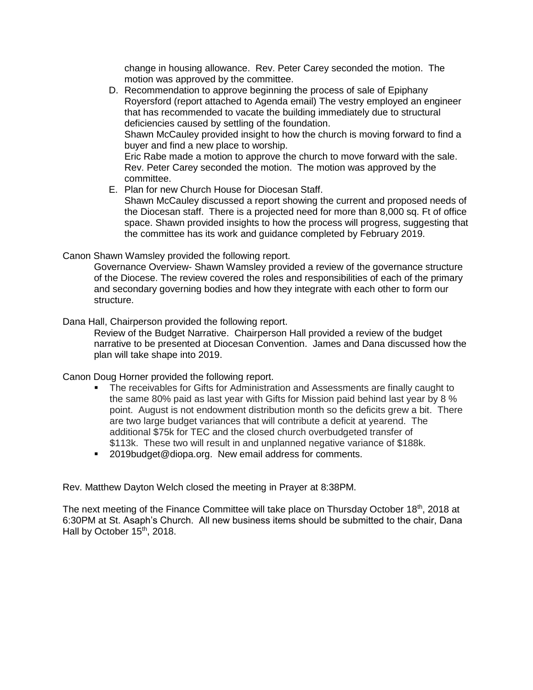change in housing allowance. Rev. Peter Carey seconded the motion. The motion was approved by the committee.

- D. Recommendation to approve beginning the process of sale of Epiphany Royersford (report attached to Agenda email) The vestry employed an engineer that has recommended to vacate the building immediately due to structural deficiencies caused by settling of the foundation. Shawn McCauley provided insight to how the church is moving forward to find a buyer and find a new place to worship. Eric Rabe made a motion to approve the church to move forward with the sale. Rev. Peter Carey seconded the motion. The motion was approved by the committee.
- E. Plan for new Church House for Diocesan Staff. Shawn McCauley discussed a report showing the current and proposed needs of the Diocesan staff. There is a projected need for more than 8,000 sq. Ft of office space. Shawn provided insights to how the process will progress, suggesting that the committee has its work and guidance completed by February 2019.

Canon Shawn Wamsley provided the following report.

Governance Overview- Shawn Wamsley provided a review of the governance structure of the Diocese. The review covered the roles and responsibilities of each of the primary and secondary governing bodies and how they integrate with each other to form our structure.

Dana Hall, Chairperson provided the following report.

Review of the Budget Narrative. Chairperson Hall provided a review of the budget narrative to be presented at Diocesan Convention. James and Dana discussed how the plan will take shape into 2019.

Canon Doug Horner provided the following report.

- **The receivables for Gifts for Administration and Assessments are finally caught to** the same 80% paid as last year with Gifts for Mission paid behind last year by 8 % point. August is not endowment distribution month so the deficits grew a bit. There are two large budget variances that will contribute a deficit at yearend. The additional \$75k for TEC and the closed church overbudgeted transfer of \$113k. These two will result in and unplanned negative variance of \$188k.
- 2019budget@diopa.org. New email address for comments.

Rev. Matthew Dayton Welch closed the meeting in Prayer at 8:38PM.

The next meeting of the Finance Committee will take place on Thursday October 18<sup>th</sup>, 2018 at 6:30PM at St. Asaph's Church. All new business items should be submitted to the chair, Dana Hall by October 15<sup>th</sup>, 2018.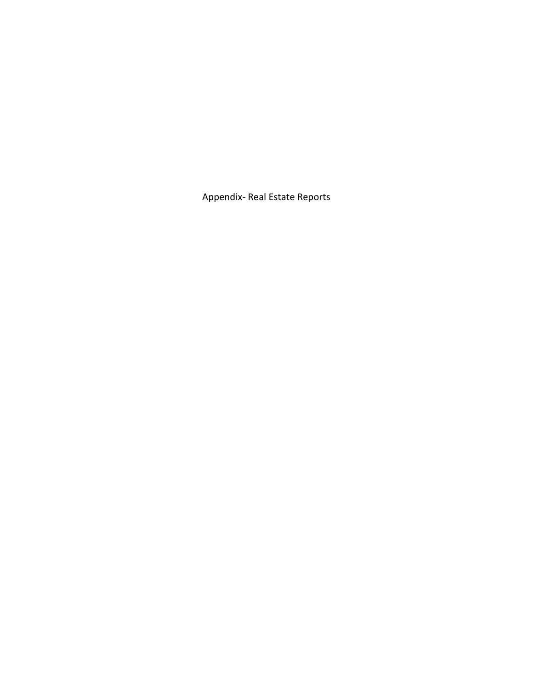Appendix- Real Estate Reports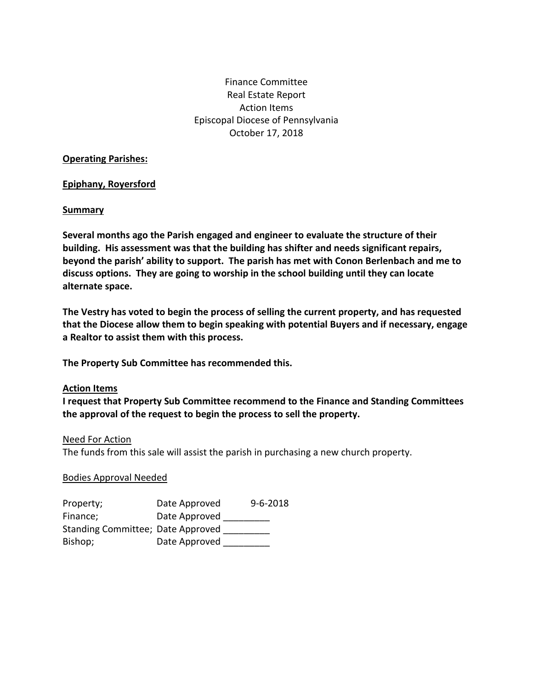# Finance Committee Real Estate Report Action Items Episcopal Diocese of Pennsylvania October 17, 2018

#### **Operating Parishes:**

# **Epiphany, Royersford**

#### **Summary**

**Several months ago the Parish engaged and engineer to evaluate the structure of their building. His assessment was that the building has shifter and needs significant repairs, beyond the parish' ability to support. The parish has met with Conon Berlenbach and me to discuss options. They are going to worship in the school building until they can locate alternate space.**

**The Vestry has voted to begin the process of selling the current property, and has requested that the Diocese allow them to begin speaking with potential Buyers and if necessary, engage a Realtor to assist them with this process.**

**The Property Sub Committee has recommended this.**

#### **Action Items**

**I request that Property Sub Committee recommend to the Finance and Standing Committees the approval of the request to begin the process to sell the property.**

#### Need For Action

The funds from this sale will assist the parish in purchasing a new church property.

# Bodies Approval Needed

| Property;                         | Date Approved | $9 - 6 - 2018$ |
|-----------------------------------|---------------|----------------|
| Finance;                          | Date Approved |                |
| Standing Committee; Date Approved |               |                |
| Bishop;                           | Date Approved |                |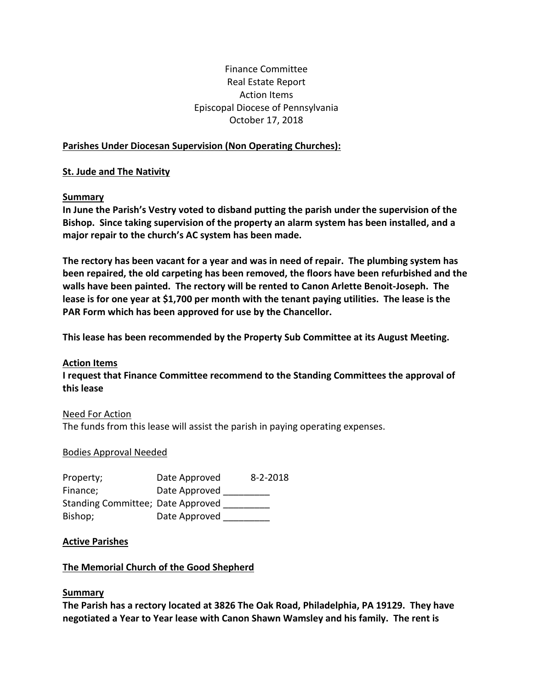# Finance Committee Real Estate Report Action Items Episcopal Diocese of Pennsylvania October 17, 2018

# **Parishes Under Diocesan Supervision (Non Operating Churches):**

# **St. Jude and The Nativity**

# **Summary**

**In June the Parish's Vestry voted to disband putting the parish under the supervision of the Bishop. Since taking supervision of the property an alarm system has been installed, and a major repair to the church's AC system has been made.**

**The rectory has been vacant for a year and was in need of repair. The plumbing system has been repaired, the old carpeting has been removed, the floors have been refurbished and the walls have been painted. The rectory will be rented to Canon Arlette Benoit-Joseph. The lease is for one year at \$1,700 per month with the tenant paying utilities. The lease is the PAR Form which has been approved for use by the Chancellor.**

**This lease has been recommended by the Property Sub Committee at its August Meeting.**

# **Action Items**

**I request that Finance Committee recommend to the Standing Committees the approval of this lease**

# Need For Action

The funds from this lease will assist the parish in paying operating expenses.

# Bodies Approval Needed

| Property;                         | Date Approved | 8-2-2018 |
|-----------------------------------|---------------|----------|
| Finance;                          | Date Approved |          |
| Standing Committee; Date Approved |               |          |
| Bishop;                           | Date Approved |          |

# **Active Parishes**

# **The Memorial Church of the Good Shepherd**

# **Summary**

**The Parish has a rectory located at 3826 The Oak Road, Philadelphia, PA 19129. They have negotiated a Year to Year lease with Canon Shawn Wamsley and his family. The rent is**